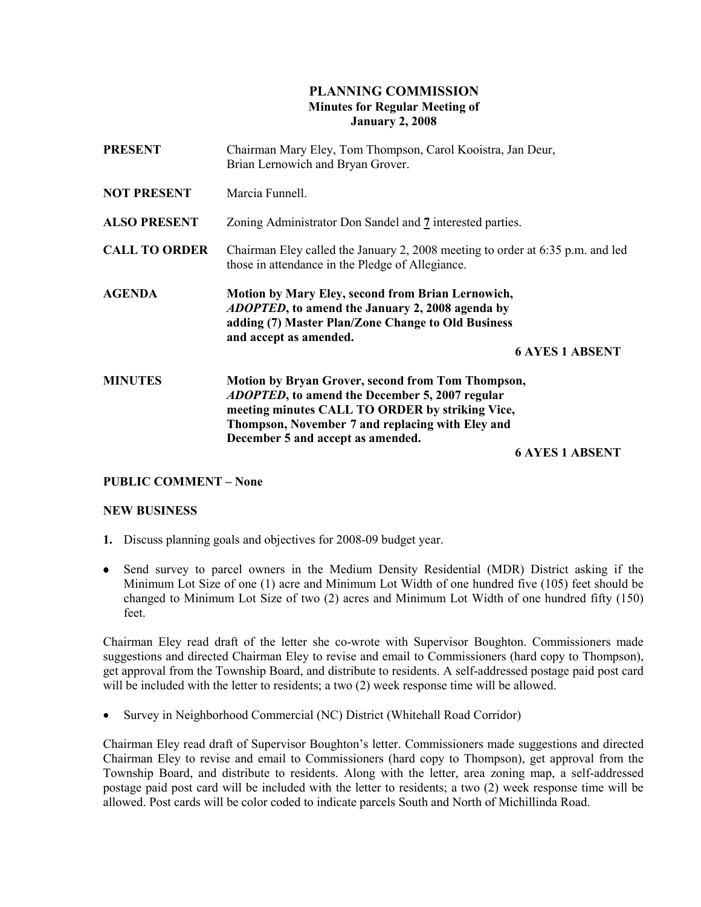## PLANNING COMMISSION Minutes for Regular Meeting of January 2, 2008

| <b>PRESENT</b>       | Chairman Mary Eley, Tom Thompson, Carol Kooistra, Jan Deur,<br>Brian Lernowich and Bryan Grover.                                                                                                                                                        |
|----------------------|---------------------------------------------------------------------------------------------------------------------------------------------------------------------------------------------------------------------------------------------------------|
| <b>NOT PRESENT</b>   | Marcia Funnell.                                                                                                                                                                                                                                         |
| <b>ALSO PRESENT</b>  | Zoning Administrator Don Sandel and 7 interested parties.                                                                                                                                                                                               |
| <b>CALL TO ORDER</b> | Chairman Eley called the January 2, 2008 meeting to order at 6:35 p.m. and led<br>those in attendance in the Pledge of Allegiance.                                                                                                                      |
| <b>AGENDA</b>        | <b>Motion by Mary Eley, second from Brian Lernowich,</b><br><i>ADOPTED</i> , to amend the January 2, 2008 agenda by<br>adding (7) Master Plan/Zone Change to Old Business<br>and accept as amended.                                                     |
|                      | <b>6 AYES 1 ABSENT</b>                                                                                                                                                                                                                                  |
| <b>MINUTES</b>       | Motion by Bryan Grover, second from Tom Thompson,<br><i>ADOPTED</i> , to amend the December 5, 2007 regular<br>meeting minutes CALL TO ORDER by striking Vice,<br>Thompson, November 7 and replacing with Eley and<br>December 5 and accept as amended. |
|                      | <b>6 AYES 1 ABSENT</b>                                                                                                                                                                                                                                  |

## PUBLIC COMMENT – None

## NEW BUSINESS

- 1. Discuss planning goals and objectives for 2008-09 budget year.
- Send survey to parcel owners in the Medium Density Residential (MDR) District asking if the Minimum Lot Size of one (1) acre and Minimum Lot Width of one hundred five (105) feet should be changed to Minimum Lot Size of two (2) acres and Minimum Lot Width of one hundred fifty (150) feet.

Chairman Eley read draft of the letter she co-wrote with Supervisor Boughton. Commissioners made suggestions and directed Chairman Eley to revise and email to Commissioners (hard copy to Thompson), get approval from the Township Board, and distribute to residents. A self-addressed postage paid post card will be included with the letter to residents; a two (2) week response time will be allowed.

• Survey in Neighborhood Commercial (NC) District (Whitehall Road Corridor)

Chairman Eley read draft of Supervisor Boughton's letter. Commissioners made suggestions and directed Chairman Eley to revise and email to Commissioners (hard copy to Thompson), get approval from the Township Board, and distribute to residents. Along with the letter, area zoning map, a self-addressed postage paid post card will be included with the letter to residents; a two (2) week response time will be allowed. Post cards will be color coded to indicate parcels South and North of Michillinda Road.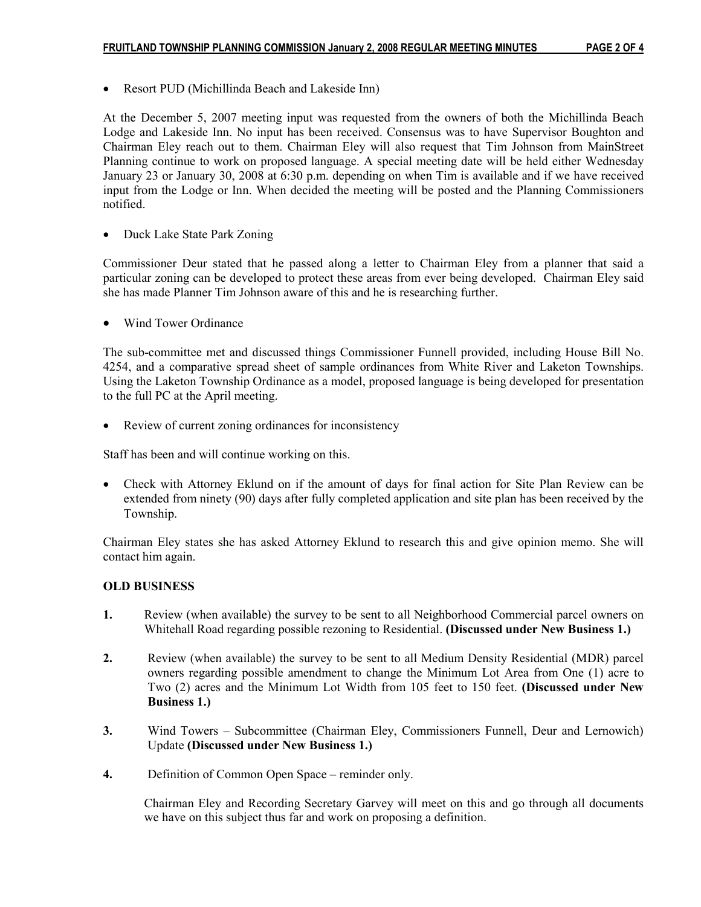• Resort PUD (Michillinda Beach and Lakeside Inn)

At the December 5, 2007 meeting input was requested from the owners of both the Michillinda Beach Lodge and Lakeside Inn. No input has been received. Consensus was to have Supervisor Boughton and Chairman Eley reach out to them. Chairman Eley will also request that Tim Johnson from MainStreet Planning continue to work on proposed language. A special meeting date will be held either Wednesday January 23 or January 30, 2008 at 6:30 p.m. depending on when Tim is available and if we have received input from the Lodge or Inn. When decided the meeting will be posted and the Planning Commissioners notified.

• Duck Lake State Park Zoning

Commissioner Deur stated that he passed along a letter to Chairman Eley from a planner that said a particular zoning can be developed to protect these areas from ever being developed. Chairman Eley said she has made Planner Tim Johnson aware of this and he is researching further.

• Wind Tower Ordinance

The sub-committee met and discussed things Commissioner Funnell provided, including House Bill No. 4254, and a comparative spread sheet of sample ordinances from White River and Laketon Townships. Using the Laketon Township Ordinance as a model, proposed language is being developed for presentation to the full PC at the April meeting.

• Review of current zoning ordinances for inconsistency

Staff has been and will continue working on this.

• Check with Attorney Eklund on if the amount of days for final action for Site Plan Review can be extended from ninety (90) days after fully completed application and site plan has been received by the Township.

Chairman Eley states she has asked Attorney Eklund to research this and give opinion memo. She will contact him again.

## OLD BUSINESS

- 1. Review (when available) the survey to be sent to all Neighborhood Commercial parcel owners on Whitehall Road regarding possible rezoning to Residential. (Discussed under New Business 1.)
- 2. Review (when available) the survey to be sent to all Medium Density Residential (MDR) parcel owners regarding possible amendment to change the Minimum Lot Area from One (1) acre to Two (2) acres and the Minimum Lot Width from 105 feet to 150 feet. (Discussed under New Business 1.)
- 3. Wind Towers Subcommittee (Chairman Eley, Commissioners Funnell, Deur and Lernowich) Update (Discussed under New Business 1.)
- 4. Definition of Common Open Space reminder only.

 Chairman Eley and Recording Secretary Garvey will meet on this and go through all documents we have on this subject thus far and work on proposing a definition.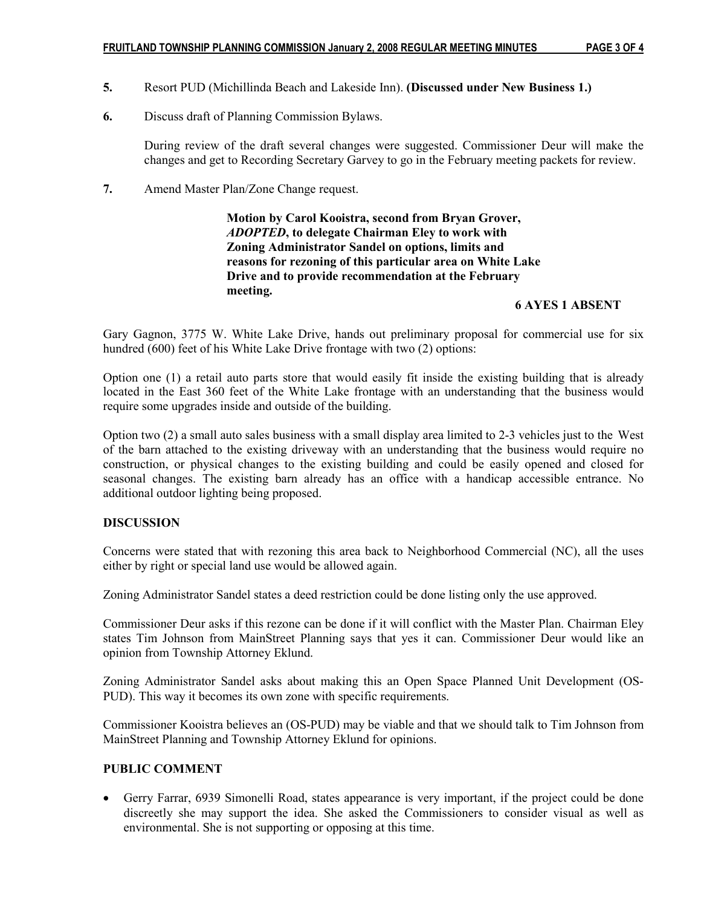- 5. Resort PUD (Michillinda Beach and Lakeside Inn). (Discussed under New Business 1.)
- 6. Discuss draft of Planning Commission Bylaws.

 During review of the draft several changes were suggested. Commissioner Deur will make the changes and get to Recording Secretary Garvey to go in the February meeting packets for review.

7. Amend Master Plan/Zone Change request.

 Motion by Carol Kooistra, second from Bryan Grover, ADOPTED, to delegate Chairman Eley to work with Zoning Administrator Sandel on options, limits and reasons for rezoning of this particular area on White Lake Drive and to provide recommendation at the February meeting.

## 6 AYES 1 ABSENT

Gary Gagnon, 3775 W. White Lake Drive, hands out preliminary proposal for commercial use for six hundred (600) feet of his White Lake Drive frontage with two (2) options:

Option one (1) a retail auto parts store that would easily fit inside the existing building that is already located in the East 360 feet of the White Lake frontage with an understanding that the business would require some upgrades inside and outside of the building.

Option two (2) a small auto sales business with a small display area limited to 2-3 vehicles just to the West of the barn attached to the existing driveway with an understanding that the business would require no construction, or physical changes to the existing building and could be easily opened and closed for seasonal changes. The existing barn already has an office with a handicap accessible entrance. No additional outdoor lighting being proposed.

## DISCUSSION

Concerns were stated that with rezoning this area back to Neighborhood Commercial (NC), all the uses either by right or special land use would be allowed again.

Zoning Administrator Sandel states a deed restriction could be done listing only the use approved.

Commissioner Deur asks if this rezone can be done if it will conflict with the Master Plan. Chairman Eley states Tim Johnson from MainStreet Planning says that yes it can. Commissioner Deur would like an opinion from Township Attorney Eklund.

Zoning Administrator Sandel asks about making this an Open Space Planned Unit Development (OS-PUD). This way it becomes its own zone with specific requirements.

Commissioner Kooistra believes an (OS-PUD) may be viable and that we should talk to Tim Johnson from MainStreet Planning and Township Attorney Eklund for opinions.

# PUBLIC COMMENT

• Gerry Farrar, 6939 Simonelli Road, states appearance is very important, if the project could be done discreetly she may support the idea. She asked the Commissioners to consider visual as well as environmental. She is not supporting or opposing at this time.